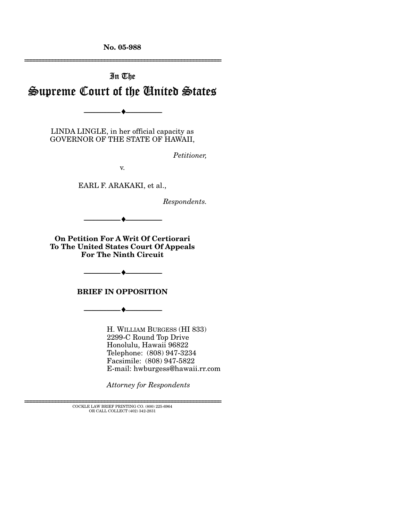**No. 05-988** 

# In The Supreme Court of the United States

LINDA LINGLE, in her official capacity as GOVERNOR OF THE STATE OF HAWAII,

--------------------------------- ♦ ---------------------------------

*Petitioner,* 

================================================================

v.

EARL F. ARAKAKI, et al.,

*Respondents.* 

**On Petition For A Writ Of Certiorari To The United States Court Of Appeals For The Ninth Circuit** 

--------------------------------- ♦ ---------------------------------

**BRIEF IN OPPOSITION** 

--------------------------------- ♦ ---------------------------------

--------------------------------- ♦ ---------------------------------

H. WILLIAM BURGESS (HI 833) 2299-C Round Top Drive Honolulu, Hawaii 96822 Telephone: (808) 947-3234 Facsimile: (808) 947-5822 E-mail: hwburgess@hawaii.rr.com

*Attorney for Respondents* 

 ${\rm COCKLE}$  LAW BRIEF PRINTING CO. (800) 225-6964 OR CALL COLLECT (402) 342-2831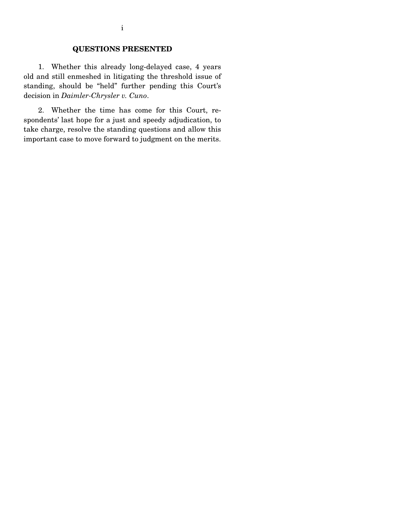#### **QUESTIONS PRESENTED**

 1. Whether this already long-delayed case, 4 years old and still enmeshed in litigating the threshold issue of standing, should be "held" further pending this Court's decision in *Daimler-Chrysler v. Cuno*.

 2. Whether the time has come for this Court, respondents' last hope for a just and speedy adjudication, to take charge, resolve the standing questions and allow this important case to move forward to judgment on the merits.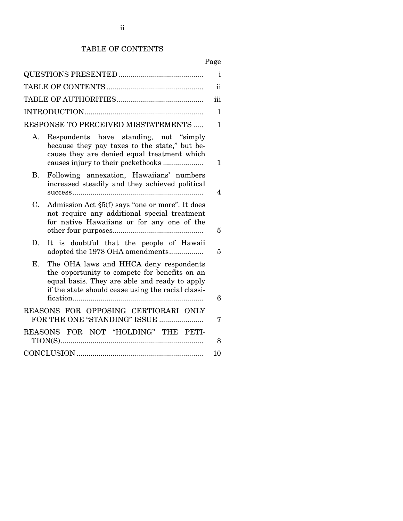# TABLE OF CONTENTS

# Page

| $\mathbf{i}$                                                                                                                                                                                         |                |  |  |
|------------------------------------------------------------------------------------------------------------------------------------------------------------------------------------------------------|----------------|--|--|
|                                                                                                                                                                                                      | $\mathbf{ii}$  |  |  |
|                                                                                                                                                                                                      | iii            |  |  |
|                                                                                                                                                                                                      | 1              |  |  |
| RESPONSE TO PERCEIVED MISSTATEMENTS                                                                                                                                                                  | 1.             |  |  |
| Respondents have standing, not "simply"<br>А.<br>because they pay taxes to the state," but be-<br>cause they are denied equal treatment which                                                        |                |  |  |
| causes injury to their pocketbooks                                                                                                                                                                   | $\mathbf{1}$   |  |  |
| Following annexation, Hawaiians' numbers<br>В.<br>increased steadily and they achieved political                                                                                                     | $\overline{4}$ |  |  |
| Admission Act §5(f) says "one or more". It does<br>C.<br>not require any additional special treatment<br>for native Hawaiians or for any one of the                                                  | $\overline{5}$ |  |  |
| D.<br>It is doubtful that the people of Hawaii<br>adopted the 1978 OHA amendments                                                                                                                    | $\overline{5}$ |  |  |
| E.<br>The OHA laws and HHCA deny respondents<br>the opportunity to compete for benefits on an<br>equal basis. They are able and ready to apply<br>if the state should cease using the racial classi- |                |  |  |
|                                                                                                                                                                                                      | 6              |  |  |
| REASONS FOR OPPOSING CERTIORARI ONLY<br>FOR THE ONE "STANDING" ISSUE                                                                                                                                 | 7              |  |  |
| REASONS FOR NOT "HOLDING" THE PETI-                                                                                                                                                                  | 8              |  |  |
|                                                                                                                                                                                                      | 10             |  |  |
|                                                                                                                                                                                                      |                |  |  |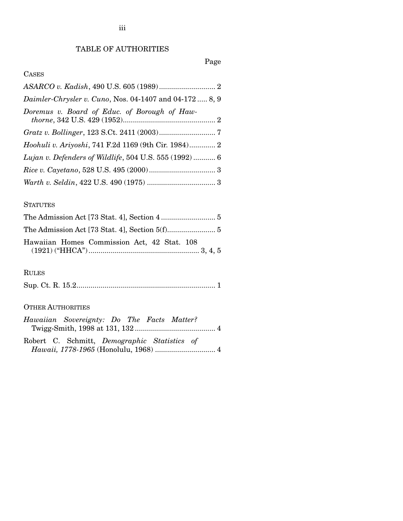# TABLE OF AUTHORITIES

## Page

### CASES

| Daimler-Chrysler v. Cuno, Nos. 04-1407 and 04-172  8, 9     |  |
|-------------------------------------------------------------|--|
| Doremus v. Board of Educ. of Borough of Haw-                |  |
|                                                             |  |
| <i>Hoohuli v. Ariyoshi, 741 F.2d 1169 (9th Cir. 1984) 2</i> |  |
| Lujan v. Defenders of Wildlife, 504 U.S. 555 (1992)  6      |  |
|                                                             |  |
|                                                             |  |

#### **STATUTES**

| Hawaiian Homes Commission Act, 42 Stat. 108 |  |
|---------------------------------------------|--|

# RULES

|--|--|--|--|

#### OTHER AUTHORITIES

| Hawaiian Sovereignty: Do The Facts Matter?   |  |  |  |
|----------------------------------------------|--|--|--|
|                                              |  |  |  |
|                                              |  |  |  |
| Robert C. Schmitt, Demographic Statistics of |  |  |  |
|                                              |  |  |  |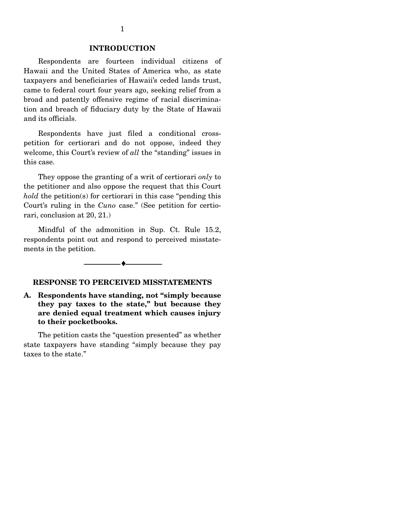#### **INTRODUCTION**

 Respondents are fourteen individual citizens of Hawaii and the United States of America who, as state taxpayers and beneficiaries of Hawaii's ceded lands trust, came to federal court four years ago, seeking relief from a broad and patently offensive regime of racial discrimination and breach of fiduciary duty by the State of Hawaii and its officials.

 Respondents have just filed a conditional crosspetition for certiorari and do not oppose, indeed they welcome, this Court's review of *all* the "standing" issues in this case.

 They oppose the granting of a writ of certiorari *only* to the petitioner and also oppose the request that this Court *hold* the petition(s) for certiorari in this case "pending this Court's ruling in the *Cuno* case." (See petition for certiorari, conclusion at 20, 21.)

 Mindful of the admonition in Sup. Ct. Rule 15.2, respondents point out and respond to perceived misstatements in the petition.

# --------------------------------- ♦ ---------------------------------

#### **RESPONSE TO PERCEIVED MISSTATEMENTS**

**A. Respondents have standing, not "simply because they pay taxes to the state," but because they are denied equal treatment which causes injury to their pocketbooks.** 

 The petition casts the "question presented" as whether state taxpayers have standing "simply because they pay taxes to the state."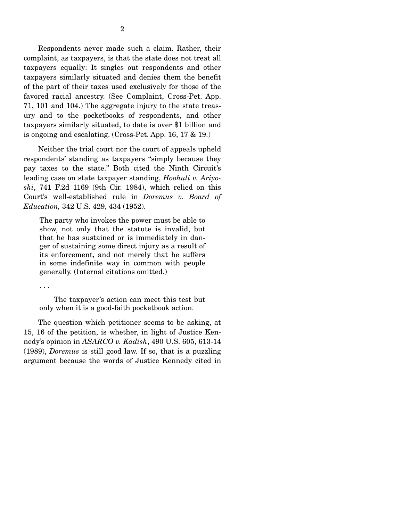Respondents never made such a claim. Rather, their complaint, as taxpayers, is that the state does not treat all taxpayers equally: It singles out respondents and other taxpayers similarly situated and denies them the benefit of the part of their taxes used exclusively for those of the favored racial ancestry. (See Complaint, Cross-Pet. App. 71, 101 and 104.) The aggregate injury to the state treasury and to the pocketbooks of respondents, and other taxpayers similarly situated, to date is over \$1 billion and is ongoing and escalating. (Cross-Pet. App. 16, 17 & 19.)

 Neither the trial court nor the court of appeals upheld respondents' standing as taxpayers "simply because they pay taxes to the state." Both cited the Ninth Circuit's leading case on state taxpayer standing, *Hoohuli v. Ariyoshi*, 741 F.2d 1169 (9th Cir. 1984), which relied on this Court's well-established rule in *Doremus v. Board of Education,* 342 U.S. 429, 434 (1952).

The party who invokes the power must be able to show, not only that the statute is invalid, but that he has sustained or is immediately in danger of sustaining some direct injury as a result of its enforcement, and not merely that he suffers in some indefinite way in common with people generally. (Internal citations omitted.)

. . .

 The taxpayer's action can meet this test but only when it is a good-faith pocketbook action.

 The question which petitioner seems to be asking, at 15, 16 of the petition, is whether, in light of Justice Kennedy's opinion in *ASARCO v. Kadish*, 490 U.S. 605, 613-14 (1989), *Doremus* is still good law. If so, that is a puzzling argument because the words of Justice Kennedy cited in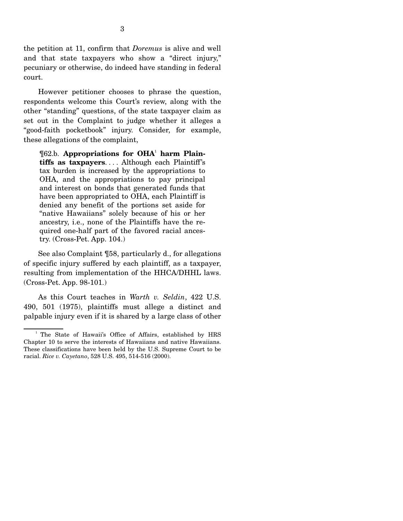the petition at 11, confirm that *Doremus* is alive and well and that state taxpayers who show a "direct injury," pecuniary or otherwise, do indeed have standing in federal court.

 However petitioner chooses to phrase the question, respondents welcome this Court's review, along with the other "standing" questions, of the state taxpayer claim as set out in the Complaint to judge whether it alleges a "good-faith pocketbook" injury. Consider, for example, these allegations of the complaint,

¶62.b. **Appropriations for OHA**<sup>1</sup>  **harm Plaintiffs as taxpayers**. . . . Although each Plaintiff's tax burden is increased by the appropriations to OHA, and the appropriations to pay principal and interest on bonds that generated funds that have been appropriated to OHA, each Plaintiff is denied any benefit of the portions set aside for "native Hawaiians" solely because of his or her ancestry, i.e., none of the Plaintiffs have the required one-half part of the favored racial ancestry. (Cross-Pet. App. 104.)

 See also Complaint ¶58, particularly d., for allegations of specific injury suffered by each plaintiff, as a taxpayer, resulting from implementation of the HHCA/DHHL laws. (Cross-Pet. App. 98-101.)

 As this Court teaches in *Warth v. Seldin*, 422 U.S. 490, 501 (1975), plaintiffs must allege a distinct and palpable injury even if it is shared by a large class of other

<sup>&</sup>lt;sup>1</sup> The State of Hawaii's Office of Affairs, established by HRS Chapter 10 to serve the interests of Hawaiians and native Hawaiians. These classifications have been held by the U.S. Supreme Court to be racial. *Rice v. Cayetano*, 528 U.S. 495, 514-516 (2000).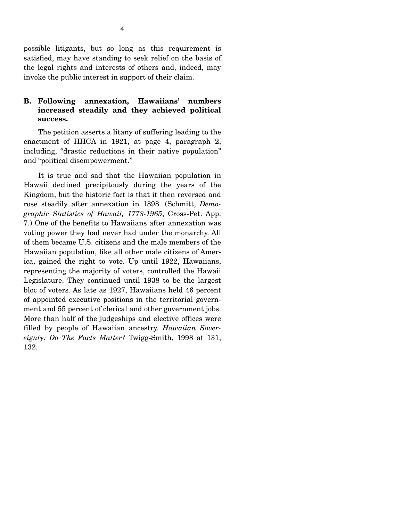possible litigants, but so long as this requirement is satisfied, may have standing to seek relief on the basis of the legal rights and interests of others and, indeed, may invoke the public interest in support of their claim.

#### **B. Following annexation, Hawaiians' numbers increased steadily and they achieved political success.**

 The petition asserts a litany of suffering leading to the enactment of HHCA in 1921, at page 4, paragraph 2, including, "drastic reductions in their native population" and "political disempowerment."

 It is true and sad that the Hawaiian population in Hawaii declined precipitously during the years of the Kingdom, but the historic fact is that it then reversed and rose steadily after annexation in 1898. (Schmitt, *Demographic Statistics of Hawaii, 1778-1965*, Cross-Pet. App. 7.) One of the benefits to Hawaiians after annexation was voting power they had never had under the monarchy. All of them became U.S. citizens and the male members of the Hawaiian population, like all other male citizens of America, gained the right to vote. Up until 1922, Hawaiians, representing the majority of voters, controlled the Hawaii Legislature. They continued until 1938 to be the largest bloc of voters. As late as 1927, Hawaiians held 46 percent of appointed executive positions in the territorial government and 55 percent of clerical and other government jobs. More than half of the judgeships and elective offices were filled by people of Hawaiian ancestry. *Hawaiian Sovereignty: Do The Facts Matter?* Twigg-Smith, 1998 at 131, 132.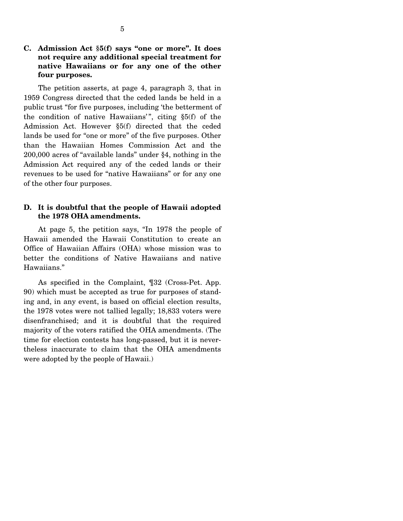#### **C. Admission Act §5(f) says "one or more". It does not require any additional special treatment for native Hawaiians or for any one of the other four purposes.**

 The petition asserts, at page 4, paragraph 3, that in 1959 Congress directed that the ceded lands be held in a public trust "for five purposes, including 'the betterment of the condition of native Hawaiians'", citing  $\S5(f)$  of the Admission Act. However §5(f) directed that the ceded lands be used for "one or more" of the five purposes. Other than the Hawaiian Homes Commission Act and the 200,000 acres of "available lands" under §4, nothing in the Admission Act required any of the ceded lands or their revenues to be used for "native Hawaiians" or for any one of the other four purposes.

#### **D. It is doubtful that the people of Hawaii adopted the 1978 OHA amendments.**

 At page 5, the petition says, "In 1978 the people of Hawaii amended the Hawaii Constitution to create an Office of Hawaiian Affairs (OHA) whose mission was to better the conditions of Native Hawaiians and native Hawaiians."

 As specified in the Complaint, ¶32 (Cross-Pet. App. 90) which must be accepted as true for purposes of standing and, in any event, is based on official election results, the 1978 votes were not tallied legally; 18,833 voters were disenfranchised; and it is doubtful that the required majority of the voters ratified the OHA amendments. (The time for election contests has long-passed, but it is nevertheless inaccurate to claim that the OHA amendments were adopted by the people of Hawaii.)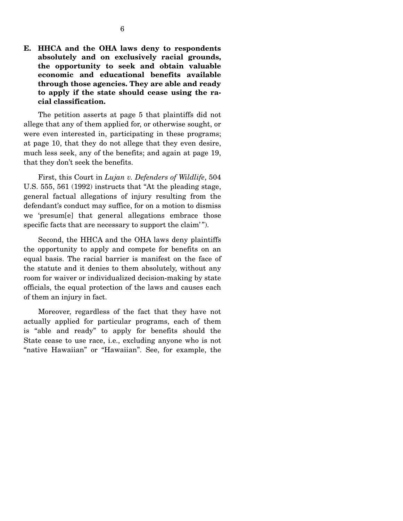**E. HHCA and the OHA laws deny to respondents absolutely and on exclusively racial grounds, the opportunity to seek and obtain valuable economic and educational benefits available through those agencies. They are able and ready to apply if the state should cease using the racial classification.** 

 The petition asserts at page 5 that plaintiffs did not allege that any of them applied for, or otherwise sought, or were even interested in, participating in these programs; at page 10, that they do not allege that they even desire, much less seek, any of the benefits; and again at page 19, that they don't seek the benefits.

 First, this Court in *Lujan v. Defenders of Wildlife*, 504 U.S. 555, 561 (1992) instructs that "At the pleading stage, general factual allegations of injury resulting from the defendant's conduct may suffice, for on a motion to dismiss we 'presum[e] that general allegations embrace those specific facts that are necessary to support the claim'".

 Second, the HHCA and the OHA laws deny plaintiffs the opportunity to apply and compete for benefits on an equal basis. The racial barrier is manifest on the face of the statute and it denies to them absolutely, without any room for waiver or individualized decision-making by state officials, the equal protection of the laws and causes each of them an injury in fact.

 Moreover, regardless of the fact that they have not actually applied for particular programs, each of them is "able and ready" to apply for benefits should the State cease to use race, i.e., excluding anyone who is not "native Hawaiian" or "Hawaiian". See, for example, the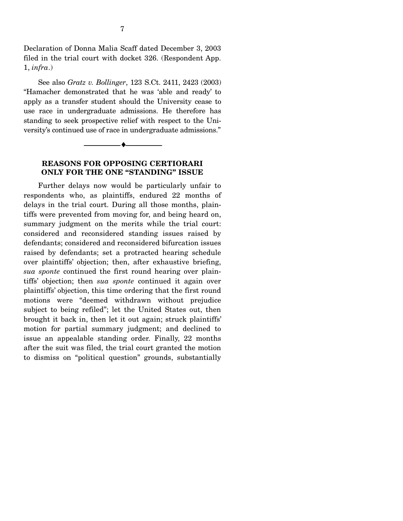Declaration of Donna Malia Scaff dated December 3, 2003 filed in the trial court with docket 326. (Respondent App. 1, *infra*.)

 See also *Gratz v. Bollinger*, 123 S.Ct. 2411, 2423 (2003) "Hamacher demonstrated that he was 'able and ready' to apply as a transfer student should the University cease to use race in undergraduate admissions. He therefore has standing to seek prospective relief with respect to the University's continued use of race in undergraduate admissions."

#### **REASONS FOR OPPOSING CERTIORARI ONLY FOR THE ONE "STANDING" ISSUE**

--------------------------------- ♦ ---------------------------------

 Further delays now would be particularly unfair to respondents who, as plaintiffs, endured 22 months of delays in the trial court. During all those months, plaintiffs were prevented from moving for, and being heard on, summary judgment on the merits while the trial court: considered and reconsidered standing issues raised by defendants; considered and reconsidered bifurcation issues raised by defendants; set a protracted hearing schedule over plaintiffs' objection; then, after exhaustive briefing, *sua sponte* continued the first round hearing over plaintiffs' objection; then *sua sponte* continued it again over plaintiffs' objection, this time ordering that the first round motions were "deemed withdrawn without prejudice subject to being refiled"; let the United States out, then brought it back in, then let it out again; struck plaintiffs' motion for partial summary judgment; and declined to issue an appealable standing order. Finally, 22 months after the suit was filed, the trial court granted the motion to dismiss on "political question" grounds, substantially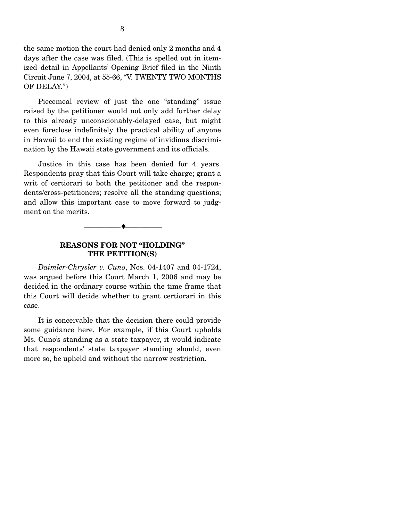the same motion the court had denied only 2 months and 4 days after the case was filed. (This is spelled out in itemized detail in Appellants' Opening Brief filed in the Ninth Circuit June 7, 2004, at 55-66, "V. TWENTY TWO MONTHS OF DELAY.")

 Piecemeal review of just the one "standing" issue raised by the petitioner would not only add further delay to this already unconscionably-delayed case, but might even foreclose indefinitely the practical ability of anyone in Hawaii to end the existing regime of invidious discrimination by the Hawaii state government and its officials.

 Justice in this case has been denied for 4 years. Respondents pray that this Court will take charge; grant a writ of certiorari to both the petitioner and the respondents/cross-petitioners; resolve all the standing questions; and allow this important case to move forward to judgment on the merits.

#### **REASONS FOR NOT "HOLDING" THE PETITION(S)**

--------------------------------- ♦ ---------------------------------

 *Daimler-Chrysler v. Cuno*, Nos. 04-1407 and 04-1724, was argued before this Court March 1, 2006 and may be decided in the ordinary course within the time frame that this Court will decide whether to grant certiorari in this case.

 It is conceivable that the decision there could provide some guidance here. For example, if this Court upholds Ms. Cuno's standing as a state taxpayer, it would indicate that respondents' state taxpayer standing should, even more so, be upheld and without the narrow restriction.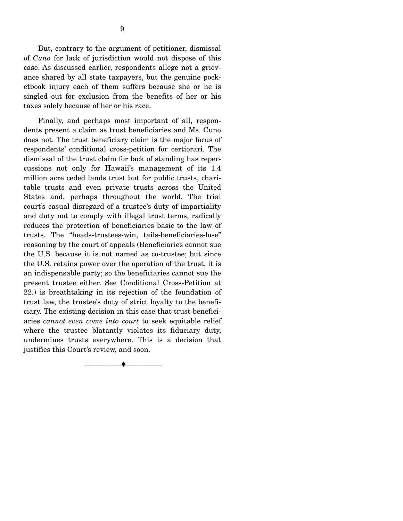taxes solely because of her or his race.

 Finally, and perhaps most important of all, respondents present a claim as trust beneficiaries and Ms. Cuno does not. The trust beneficiary claim is the major focus of respondents' conditional cross-petition for certiorari. The dismissal of the trust claim for lack of standing has repercussions not only for Hawaii's management of its 1.4 million acre ceded lands trust but for public trusts, charitable trusts and even private trusts across the United States and, perhaps throughout the world. The trial court's casual disregard of a trustee's duty of impartiality and duty not to comply with illegal trust terms, radically reduces the protection of beneficiaries basic to the law of trusts. The "heads-trustees-win, tails-beneficiaries-lose" reasoning by the court of appeals (Beneficiaries cannot sue the U.S. because it is not named as co-trustee; but since the U.S. retains power over the operation of the trust, it is an indispensable party; so the beneficiaries cannot sue the present trustee either. See Conditional Cross-Petition at 22.) is breathtaking in its rejection of the foundation of trust law, the trustee's duty of strict loyalty to the beneficiary. The existing decision in this case that trust beneficiaries *cannot even come into court* to seek equitable relief where the trustee blatantly violates its fiduciary duty, undermines trusts everywhere. This is a decision that justifies this Court's review, and soon.

--------------------------------- ♦ ---------------------------------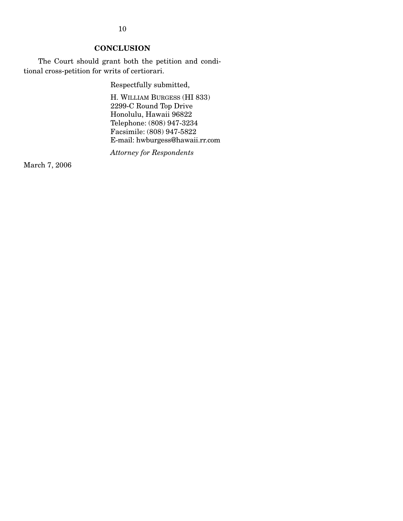10

### **CONCLUSION**

 The Court should grant both the petition and conditional cross-petition for writs of certiorari.

Respectfully submitted,

H. WILLIAM BURGESS (HI 833) 2299-C Round Top Drive Honolulu, Hawaii 96822 Telephone: (808) 947-3234 Facsimile: (808) 947-5822 E-mail: hwburgess@hawaii.rr.com

*Attorney for Respondents* 

March 7, 2006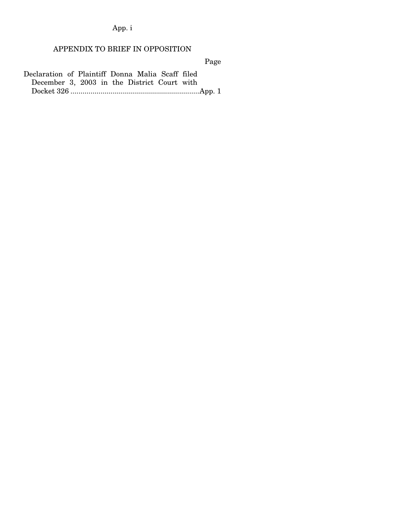App. i

# APPENDIX TO BRIEF IN OPPOSITION

Page

Declaration of Plaintiff Donna Malia Scaff filed December 3, 2003 in the District Court with Docket 326 ................................................................App. 1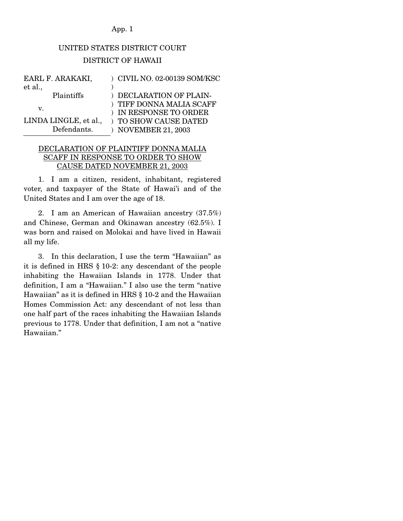#### App. 1

# UNITED STATES DISTRICT COURT DISTRICT OF HAWAII

| EARL F. ARAKAKI,      | ) CIVIL NO. 02-00139 SOM/KSC |
|-----------------------|------------------------------|
| et al.,               |                              |
| Plaintiffs            | ) DECLARATION OF PLAIN-      |
|                       | ) TIFF DONNA MALIA SCAFF     |
| V.                    | ) IN RESPONSE TO ORDER       |
| LINDA LINGLE, et al., | ) TO SHOW CAUSE DATED        |
| Defendants.           | <b>NOVEMBER 21, 2003</b>     |

#### DECLARATION OF PLAINTIFF DONNA MALIA SCAFF IN RESPONSE TO ORDER TO SHOW CAUSE DATED NOVEMBER 21, 2003

 1. I am a citizen, resident, inhabitant, registered voter, and taxpayer of the State of Hawai'i and of the United States and I am over the age of 18.

 2. I am an American of Hawaiian ancestry (37.5%) and Chinese, German and Okinawan ancestry (62.5%). I was born and raised on Molokai and have lived in Hawaii all my life.

 3. In this declaration, I use the term "Hawaiian" as it is defined in HRS § 10-2: any descendant of the people inhabiting the Hawaiian Islands in 1778. Under that definition, I am a "Hawaiian." I also use the term "native Hawaiian" as it is defined in HRS § 10-2 and the Hawaiian Homes Commission Act: any descendant of not less than one half part of the races inhabiting the Hawaiian Islands previous to 1778. Under that definition, I am not a "native Hawaiian."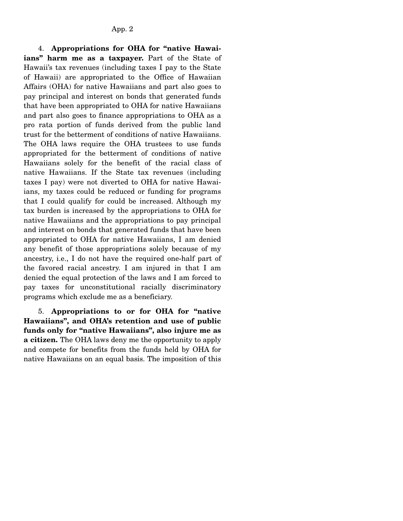4. **Appropriations for OHA for "native Hawaiians" harm me as a taxpayer.** Part of the State of Hawaii's tax revenues (including taxes I pay to the State of Hawaii) are appropriated to the Office of Hawaiian Affairs (OHA) for native Hawaiians and part also goes to pay principal and interest on bonds that generated funds that have been appropriated to OHA for native Hawaiians and part also goes to finance appropriations to OHA as a pro rata portion of funds derived from the public land trust for the betterment of conditions of native Hawaiians. The OHA laws require the OHA trustees to use funds appropriated for the betterment of conditions of native Hawaiians solely for the benefit of the racial class of native Hawaiians. If the State tax revenues (including taxes I pay) were not diverted to OHA for native Hawaiians, my taxes could be reduced or funding for programs that I could qualify for could be increased. Although my tax burden is increased by the appropriations to OHA for native Hawaiians and the appropriations to pay principal and interest on bonds that generated funds that have been appropriated to OHA for native Hawaiians, I am denied any benefit of those appropriations solely because of my ancestry, i.e., I do not have the required one-half part of the favored racial ancestry. I am injured in that I am denied the equal protection of the laws and I am forced to pay taxes for unconstitutional racially discriminatory programs which exclude me as a beneficiary.

 5. **Appropriations to or for OHA for "native Hawaiians", and OHA's retention and use of public funds only for "native Hawaiians", also injure me as a citizen.** The OHA laws deny me the opportunity to apply and compete for benefits from the funds held by OHA for native Hawaiians on an equal basis. The imposition of this